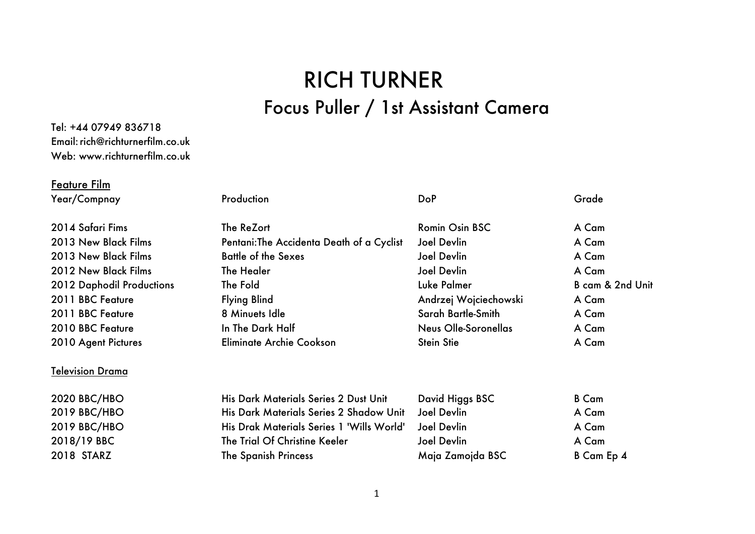## RICH TURNER Focus Puller / 1st Assistant Camera

## Tel: +44 07949 836718 Email:rich@richturnerfilm.co.uk Web: www.richturnerfilm.co.uk

## Feature Film

| Year/Compnay              | Production                                | <b>DoP</b>            | Grade            |
|---------------------------|-------------------------------------------|-----------------------|------------------|
| 2014 Safari Fims          | The ReZort                                | Romin Osin BSC        | A Cam            |
| 2013 New Black Films      | Pentani: The Accidenta Death of a Cyclist | <b>Joel Devlin</b>    | A Cam            |
| 2013 New Black Films      | <b>Battle of the Sexes</b>                | Joel Devlin           | A Cam            |
| 2012 New Black Films      | The Healer                                | Joel Devlin           | A Cam            |
| 2012 Daphodil Productions | The Fold                                  | Luke Palmer           | B cam & 2nd Unit |
| 2011 BBC Feature          | <b>Flying Blind</b>                       | Andrzej Wojciechowski | A Cam            |
| 2011 BBC Feature          | 8 Minuets Idle                            | Sarah Bartle-Smith    | A Cam            |
| 2010 BBC Feature          | In The Dark Half                          | Neus Olle-Soronellas  | A Cam            |
| 2010 Agent Pictures       | Eliminate Archie Cookson                  | <b>Stein Stie</b>     | A Cam            |
| Television Drama          |                                           |                       |                  |
| <b>2020 BBC/HBO</b>       | His Dark Materials Series 2 Dust Unit     | David Higgs BSC       | <b>B</b> Cam     |
| 2019 BBC/HBO              | His Dark Materials Series 2 Shadow Unit   | Joel Devlin           | A Cam            |
| 2019 BBC/HBO              | His Drak Materials Series 1 'Wills World' | <b>Joel Devlin</b>    | A Cam            |
| 2018/19 BBC               | The Trial Of Christine Keeler             | <b>Joel Devlin</b>    | A Cam            |
| 2018 STARZ                | <b>The Spanish Princess</b>               | Maja Zamojda BSC      | B Cam Ep 4       |
|                           |                                           |                       |                  |